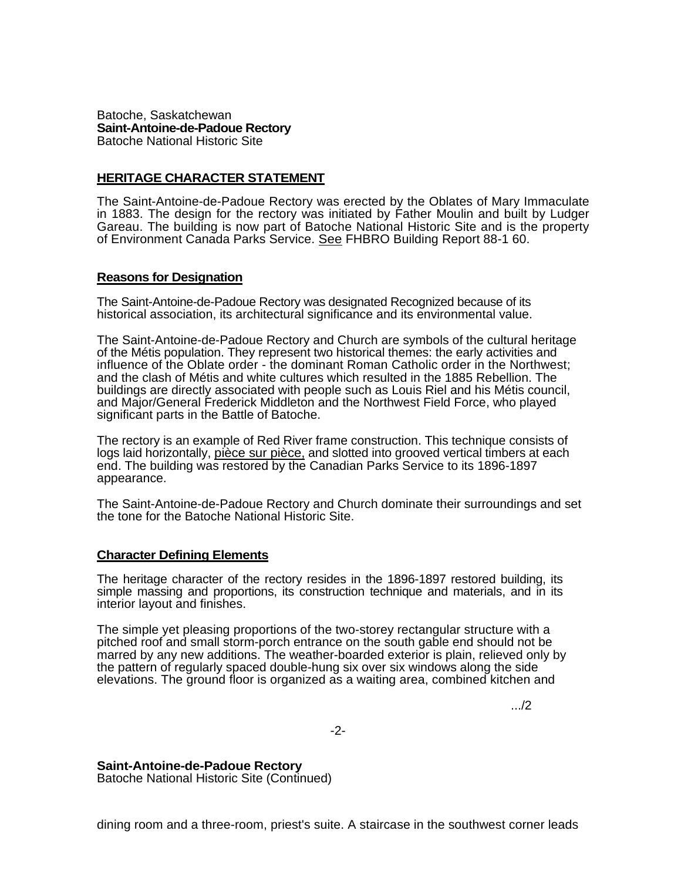Batoche, Saskatchewan **Saint-Antoine-de-Padoue Rectory**  Batoche National Historic Site

## **HERITAGE CHARACTER STATEMENT**

The Saint-Antoine-de-Padoue Rectory was erected by the Oblates of Mary Immaculate in 1883. The design for the rectory was initiated by Father Moulin and built by Ludger Gareau. The building is now part of Batoche National Historic Site and is the property of Environment Canada Parks Service. See FHBRO Building Report 88-1 60.

## **Reasons for Designation**

The Saint-Antoine-de-Padoue Rectory was designated Recognized because of its historical association, its architectural significance and its environmental value.

The Saint-Antoine-de-Padoue Rectory and Church are symbols of the cultural heritage of the Métis population. They represent two historical themes: the early activities and influence of the Oblate order - the dominant Roman Catholic order in the Northwest; and the clash of Métis and white cultures which resulted in the 1885 Rebellion. The buildings are directly associated with people such as Louis Riel and his Métis council, and Major/General Frederick Middleton and the Northwest Field Force, who played significant parts in the Battle of Batoche.

The rectory is an example of Red River frame construction. This technique consists of logs laid horizontally, pièce sur pièce, and slotted into grooved vertical timbers at each end. The building was restored by the Canadian Parks Service to its 1896-1897 appearance.

The Saint-Antoine-de-Padoue Rectory and Church dominate their surroundings and set the tone for the Batoche National Historic Site.

## **Character Defining Elements**

The heritage character of the rectory resides in the 1896-1897 restored building, its simple massing and proportions, its construction technique and materials, and in its interior layout and finishes.

The simple yet pleasing proportions of the two-storey rectangular structure with a pitched roof and small storm-porch entrance on the south gable end should not be marred by any new additions. The weather-boarded exterior is plain, relieved only by the pattern of regularly spaced double-hung six over six windows along the side elevations. The ground floor is organized as a waiting area, combined kitchen and

.../2

-2-

## **Saint-Antoine-de-Padoue Rectory**

Batoche National Historic Site (Continued)